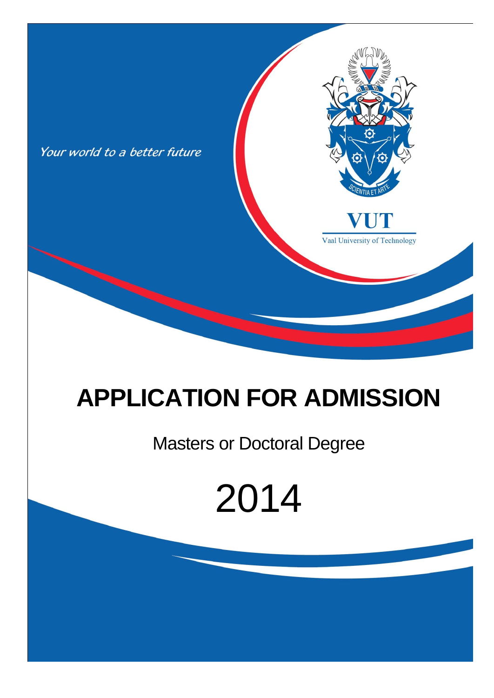

## **APPLICATION FOR ADMISSION**

### Masters or Doctoral Degree

# 2014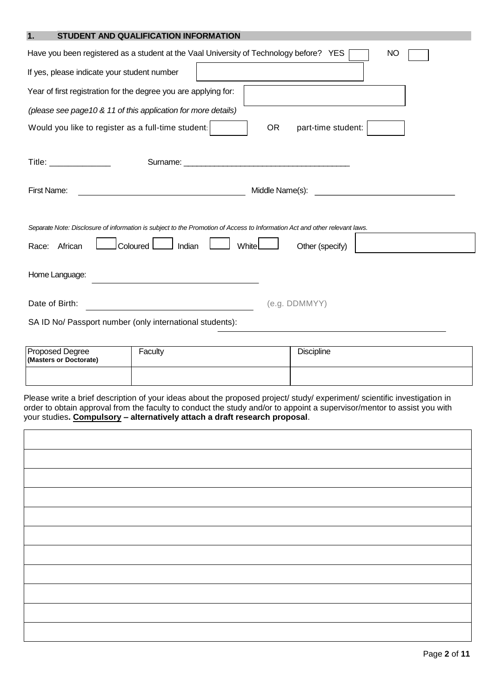| <b>STUDENT AND QUALIFICATION INFORMATION</b><br> |
|--------------------------------------------------|
|--------------------------------------------------|

| Have you been registered as a student at the Vaal University of Technology before? YES<br>NO                                                                                               |  |  |  |  |  |
|--------------------------------------------------------------------------------------------------------------------------------------------------------------------------------------------|--|--|--|--|--|
| If yes, please indicate your student number                                                                                                                                                |  |  |  |  |  |
| Year of first registration for the degree you are applying for:                                                                                                                            |  |  |  |  |  |
| (please see page 10 & 11 of this application for more details)                                                                                                                             |  |  |  |  |  |
| Would you like to register as a full-time student:<br>part-time student:<br><b>OR</b>                                                                                                      |  |  |  |  |  |
| $\mathsf{Title:} \begin{tabular}{ c c c c } \hline \quad \quad & \quad \quad & \quad \quad & \quad \quad \\ \hline \end{tabular}$<br>Surname: <u>www.communications.communications.com</u> |  |  |  |  |  |
| First Name:                                                                                                                                                                                |  |  |  |  |  |
| Separate Note: Disclosure of information is subject to the Promotion of Access to Information Act and other relevant laws.                                                                 |  |  |  |  |  |
| Coloured<br>Indian<br>White<br>African<br>Other (specify)<br>Race:                                                                                                                         |  |  |  |  |  |
| Home Language:                                                                                                                                                                             |  |  |  |  |  |
| Date of Birth:<br>(e.g. DDMMYY)                                                                                                                                                            |  |  |  |  |  |
| SA ID No/ Passport number (only international students):                                                                                                                                   |  |  |  |  |  |

| <b>Proposed Degree</b><br>(Masters or Doctorate) | Faculty | <b>Discipline</b> |
|--------------------------------------------------|---------|-------------------|
|                                                  |         |                   |

Please write a brief description of your ideas about the proposed project/ study/ experiment/ scientific investigation in order to obtain approval from the faculty to conduct the study and/or to appoint a supervisor/mentor to assist you with your studies**. Compulsory – alternatively attach a draft research proposal**.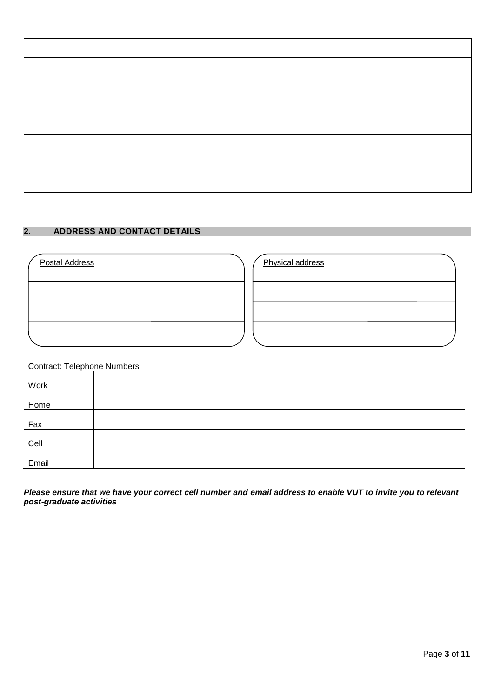| <u> 1980 - Johann Barnett, fransk politiker (</u> |  |  |
|---------------------------------------------------|--|--|

#### **2. ADDRESS AND CONTACT DETAILS**

| <b>Postal Address</b> | Physical address |  |
|-----------------------|------------------|--|
|                       |                  |  |
|                       |                  |  |
|                       |                  |  |

#### Contract: Telephone Numbers

| Work  |  |
|-------|--|
| Home  |  |
| Fax   |  |
| Cell  |  |
| Email |  |

*Please ensure that we have your correct cell number and email address to enable VUT to invite you to relevant post-graduate activities*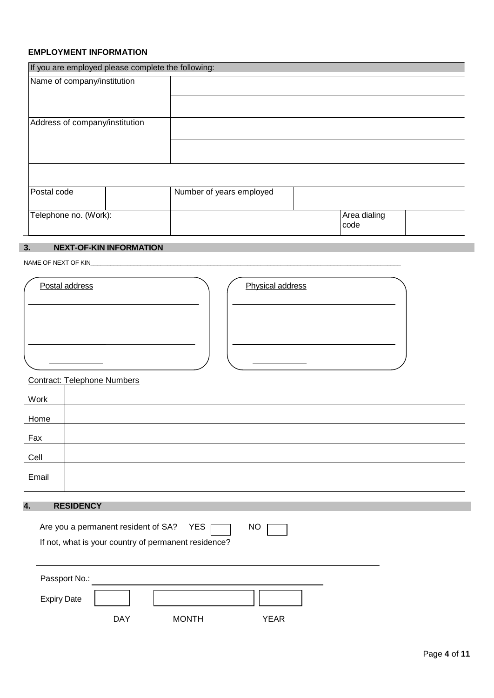#### **EMPLOYMENT INFORMATION**

|                                | If you are employed please complete the following: |                      |  |  |  |  |  |
|--------------------------------|----------------------------------------------------|----------------------|--|--|--|--|--|
| Name of company/institution    |                                                    |                      |  |  |  |  |  |
|                                |                                                    |                      |  |  |  |  |  |
| Address of company/institution |                                                    |                      |  |  |  |  |  |
|                                |                                                    |                      |  |  |  |  |  |
|                                |                                                    |                      |  |  |  |  |  |
| Postal code                    | Number of years employed                           |                      |  |  |  |  |  |
| Telephone no. (Work):          |                                                    | Area dialing<br>code |  |  |  |  |  |

#### **3. NEXT-OF-KIN INFORMATION**

NAME OF NEXT OF KIN

| Postal address | Physical address |  |
|----------------|------------------|--|
|                |                  |  |
|                |                  |  |
|                |                  |  |

#### Contract: Telephone Numbers

| <b>Work</b> |  |
|-------------|--|
| Home        |  |
| Fax         |  |
| Cell        |  |
| Email       |  |

#### **4. RESIDENCY**

|                    |     | Are you a permanent resident of SA? YES<br>If not, what is your country of permanent residence? | NO   |  |
|--------------------|-----|-------------------------------------------------------------------------------------------------|------|--|
| Passport No.:      |     |                                                                                                 |      |  |
| <b>Expiry Date</b> |     |                                                                                                 |      |  |
|                    | DAY | <b>MONTH</b>                                                                                    | YEAR |  |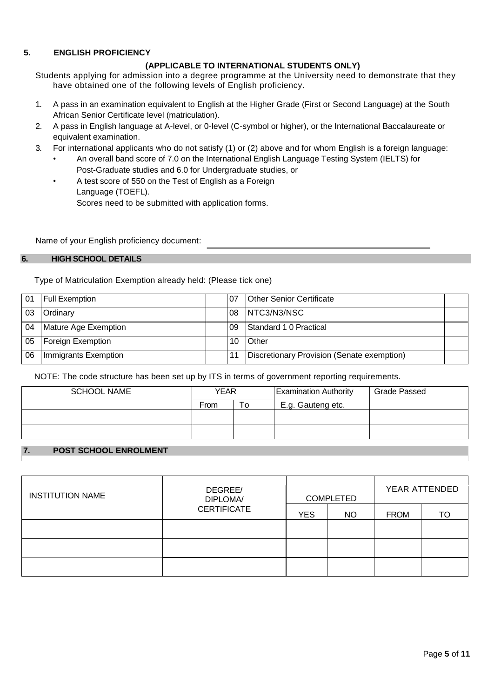#### **5. ENGLISH PROFICIENCY**

#### **(APPLICABLE TO INTERNATIONAL STUDENTS ONLY)**

Students applying for admission into a degree programme at the University need to demonstrate that they have obtained one of the following levels of English proficiency.

- 1. A pass in an examination equivalent to English at the Higher Grade (First or Second Language) at the South African Senior Certificate level (matriculation).
- 2. A pass in English language at A-level, or 0-level (C-symbol or higher), or the International Baccalaureate or equivalent examination.
- 3. For international applicants who do not satisfy (1) or (2) above and for whom English is a foreign language:
	- An overall band score of 7.0 on the International English Language Testing System (IELTS) for Post-Graduate studies and 6.0 for Undergraduate studies, or
	- A test score of 550 on the Test of English as a Foreign Language (TOEFL). Scores need to be submitted with application forms.

Name of your English proficiency document:

#### **6. HIGH SCHOOL DETAILS**

Type of Matriculation Exemption already held: (Please tick one)

| 01 | <b>Full Exemption</b> | 07  | <b>Other Senior Certificate</b>            |  |
|----|-----------------------|-----|--------------------------------------------|--|
| 03 | Ordinary              |     | 08   NTC3/N3/NSC                           |  |
| 04 | Mature Age Exemption  | .09 | Standard 1 0 Practical                     |  |
| 05 | Foreign Exemption     | 10  | <b>Other</b>                               |  |
| 06 | Immigrants Exemption  |     | Discretionary Provision (Senate exemption) |  |

NOTE: The code structure has been set up by ITS in terms of government reporting requirements.

| <b>SCHOOL NAME</b> | YEAR |    | <b>Examination Authority</b> | <b>Grade Passed</b> |
|--------------------|------|----|------------------------------|---------------------|
|                    | From | To | E.g. Gauteng etc.            |                     |
|                    |      |    |                              |                     |
|                    |      |    |                              |                     |

#### **7. POST SCHOOL ENROLMENT**

| <b>INSTITUTION NAME</b> | DEGREE/<br><b>DIPLOMA/</b><br><b>CERTIFICATE</b> | <b>COMPLETED</b> |           | YEAR ATTENDED |    |
|-------------------------|--------------------------------------------------|------------------|-----------|---------------|----|
|                         |                                                  | <b>YES</b>       | <b>NO</b> | <b>FROM</b>   | TO |
|                         |                                                  |                  |           |               |    |
|                         |                                                  |                  |           |               |    |
|                         |                                                  |                  |           |               |    |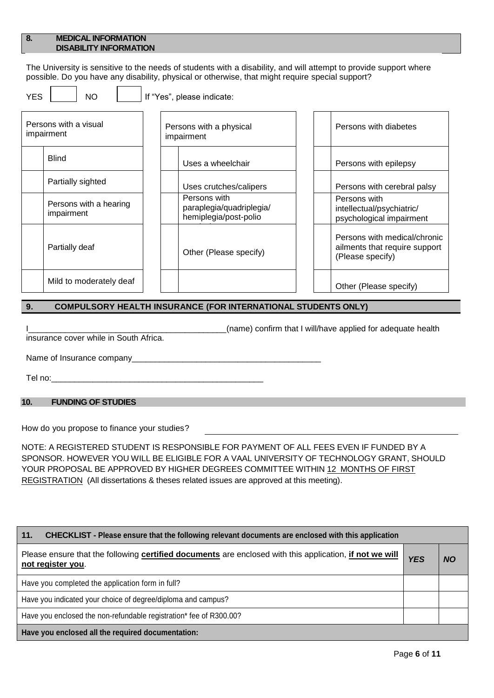#### **8. MEDICAL INFORMATION DISABILITY INFORMATION**

The University is sensitive to the needs of students with a disability, and will attempt to provide support where possible. Do you have any disability, physical or otherwise, that might require special support?

 $YES$   $|$   $NO$   $|$   $|$  If "Yes", please indicate:

| Persons with a visual<br>impairment  | Persons with a physical<br>impairment                             | Persons with diabetes                                                             |
|--------------------------------------|-------------------------------------------------------------------|-----------------------------------------------------------------------------------|
| <b>Blind</b>                         | Uses a wheelchair                                                 | Persons with epilepsy                                                             |
| Partially sighted                    | Uses crutches/calipers                                            | Persons with cerebral palsy                                                       |
| Persons with a hearing<br>impairment | Persons with<br>paraplegia/quadriplegia/<br>hemiplegia/post-polio | Persons with<br>intellectual/psychiatric/<br>psychological impairment             |
| Partially deaf                       | Other (Please specify)                                            | Persons with medical/chronic<br>ailments that require support<br>(Please specify) |
| Mild to moderately deaf              |                                                                   | Other (Please specify)                                                            |

#### **9. COMPULSORY HEALTH INSURANCE (FOR INTERNATIONAL STUDENTS ONLY)**

I\_\_\_\_\_\_\_\_\_\_\_\_\_\_\_\_\_\_\_\_\_\_\_\_\_\_\_\_\_\_\_\_\_\_\_\_\_\_\_\_\_\_\_(name) confirm that I will/have applied for adequate health

insurance cover while in South Africa.

Name of Insurance company\_\_\_\_\_\_\_\_\_\_\_\_\_\_\_\_\_\_\_\_\_\_\_\_\_\_\_\_\_\_\_\_\_\_\_\_\_\_\_\_\_

Tel no:\_\_\_\_\_\_\_\_\_\_\_\_\_\_\_\_\_\_\_\_\_\_\_\_\_\_\_\_\_\_\_\_\_\_\_\_\_\_\_\_\_\_\_\_\_\_

#### **10. FUNDING OF STUDIES**

How do you propose to finance your studies?

NOTE: A REGISTERED STUDENT IS RESPONSIBLE FOR PAYMENT OF ALL FEES EVEN IF FUNDED BY A SPONSOR. HOWEVER YOU WILL BE ELIGIBLE FOR A VAAL UNIVERSITY OF TECHNOLOGY GRANT, SHOULD YOUR PROPOSAL BE APPROVED BY HIGHER DEGREES COMMITTEE WITHIN 12 MONTHS OF FIRST REGISTRATION (All dissertations & theses related issues are approved at this meeting).

| 11.<br>CHECKLIST - Please ensure that the following relevant documents are enclosed with this application                    |            |           |
|------------------------------------------------------------------------------------------------------------------------------|------------|-----------|
| Please ensure that the following certified documents are enclosed with this application, if not we will<br>not register you. | <b>YES</b> | <b>NO</b> |
| Have you completed the application form in full?                                                                             |            |           |
| Have you indicated your choice of degree/diploma and campus?                                                                 |            |           |
| Have you enclosed the non-refundable registration* fee of R300.00?                                                           |            |           |
| Have you enclosed all the required documentation:                                                                            |            |           |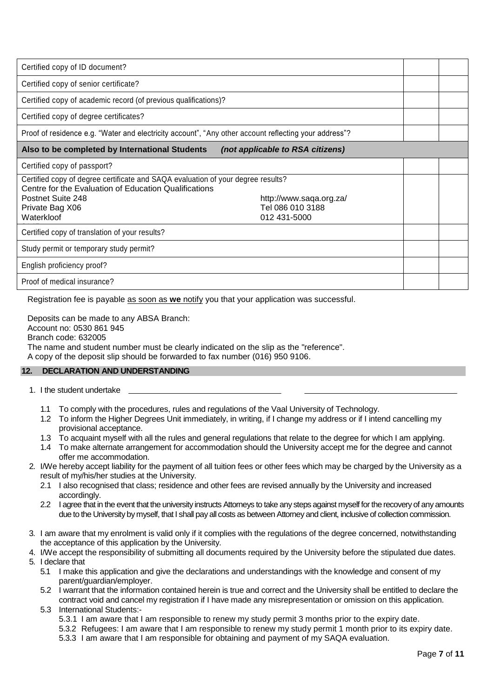| Certified copy of ID document?                                                                                                                                                                  |                                                             |  |
|-------------------------------------------------------------------------------------------------------------------------------------------------------------------------------------------------|-------------------------------------------------------------|--|
| Certified copy of senior certificate?                                                                                                                                                           |                                                             |  |
| Certified copy of academic record (of previous qualifications)?                                                                                                                                 |                                                             |  |
| Certified copy of degree certificates?                                                                                                                                                          |                                                             |  |
| Proof of residence e.g. "Water and electricity account", "Any other account reflecting your address"?                                                                                           |                                                             |  |
| Also to be completed by International Students                                                                                                                                                  | (not applicable to RSA citizens)                            |  |
| Certified copy of passport?                                                                                                                                                                     |                                                             |  |
| Certified copy of degree certificate and SAQA evaluation of your degree results?<br>Centre for the Evaluation of Education Qualifications<br>Postnet Suite 248<br>Private Bag X06<br>Waterkloof | http://www.saqa.org.za/<br>Tel 086 010 3188<br>012 431-5000 |  |
| Certified copy of translation of your results?                                                                                                                                                  |                                                             |  |
| Study permit or temporary study permit?                                                                                                                                                         |                                                             |  |
| English proficiency proof?                                                                                                                                                                      |                                                             |  |
| Proof of medical insurance?                                                                                                                                                                     |                                                             |  |

Registration fee is payable as soon as **we** notify you that your application was successful.

Deposits can be made to any ABSA Branch:

Account no: 0530 861 945

Branch code: 632005

The name and student number must be clearly indicated on the slip as the "reference".

A copy of the deposit slip should be forwarded to fax number (016) 950 9106.

#### **12. DECLARATION AND UNDERSTANDING**

- 1. I the student undertake
	- 1.1 To comply with the procedures, rules and regulations of the Vaal University of Technology.
	- 1.2 To inform the Higher Degrees Unit immediately, in writing, if I change my address or if I intend cancelling my provisional acceptance.
	- 1.3 To acquaint myself with all the rules and general regulations that relate to the degree for which I am applying.
	- 1.4 To make alternate arrangement for accommodation should the University accept me for the degree and cannot offer me accommodation.
- 2. I/We hereby accept liability for the payment of all tuition fees or other fees which may be charged by the University as a result of my/his/her studies at the University.
	- 2.1 I also recognised that class; residence and other fees are revised annually by the University and increased accordingly.
	- 2.2 I agree that in the event that the university instructs Attorneys to take any steps against myself for the recovery of any amounts due to the University by myself, that I shall pay all costs as between Attorney and client, inclusive of collection commission.
- 3. I am aware that my enrolment is valid only if it complies with the regulations of the degree concerned, notwithstanding the acceptance of this application by the University.
- 4. I/We accept the responsibility of submitting all documents required by the University before the stipulated due dates. 5. I declare that
	- 5.1 I make this application and give the declarations and understandings with the knowledge and consent of my parent/guardian/employer.
	- 5.2 I warrant that the information contained herein is true and correct and the University shall be entitled to declare the contract void and cancel my registration if I have made any misrepresentation or omission on this application. 5.3 International Students:-
		- 5.3.1 I am aware that I am responsible to renew my study permit 3 months prior to the expiry date.
		- 5.3.2 Refugees: I am aware that I am responsible to renew my study permit 1 month prior to its expiry date.
		- 5.3.3 I am aware that I am responsible for obtaining and payment of my SAQA evaluation.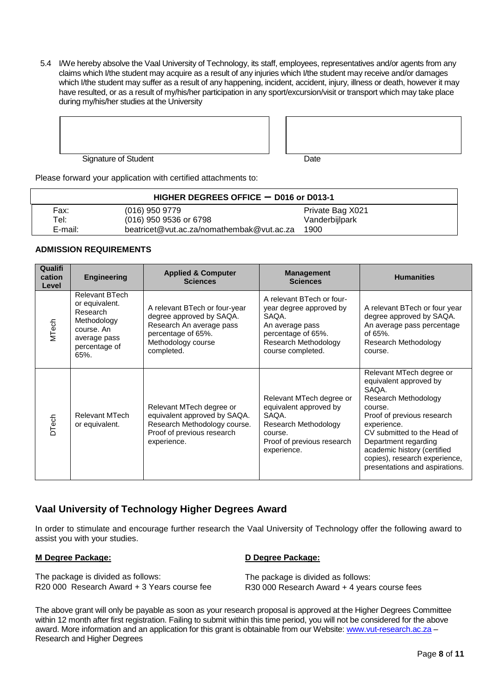5.4 I/We hereby absolve the Vaal University of Technology, its staff, employees, representatives and/or agents from any claims which I/the student may acquire as a result of any injuries which I/the student may receive and/or damages which I/the student may suffer as a result of any happening, incident, accident, injury, illness or death, however it may have resulted, or as a result of my/his/her participation in any sport/excursion/visit or transport which may take place during my/his/her studies at the University



| Date |  |
|------|--|

Please forward your application with certified attachments to:

|         | HIGHER DEGREES OFFICE $-$ D016 or D013-1  |                  |
|---------|-------------------------------------------|------------------|
| Fax:    | $(016)$ 950 9779                          | Private Bag X021 |
| Tel:    | (016) 950 9536 or 6798                    | Vanderbijlpark   |
| E-mail: | beatricet@vut.ac.za/nomathembak@vut.ac.za | 1900             |

#### **ADMISSION REQUIREMENTS**

| Qualifi<br>cation<br>Level | <b>Engineering</b>                                                                                                 | <b>Applied &amp; Computer</b><br><b>Sciences</b>                                                                                                | <b>Management</b><br><b>Sciences</b>                                                                                                                | <b>Humanities</b>                                                                                                                                                                                                                                                                                    |
|----------------------------|--------------------------------------------------------------------------------------------------------------------|-------------------------------------------------------------------------------------------------------------------------------------------------|-----------------------------------------------------------------------------------------------------------------------------------------------------|------------------------------------------------------------------------------------------------------------------------------------------------------------------------------------------------------------------------------------------------------------------------------------------------------|
| <b>MTech</b>               | Relevant BTech<br>or equivalent.<br>Research<br>Methodology<br>course. An<br>average pass<br>percentage of<br>65%. | A relevant BTech or four-year<br>degree approved by SAQA.<br>Research An average pass<br>percentage of 65%.<br>Methodology course<br>completed. | A relevant BTech or four-<br>year degree approved by<br>SAQA.<br>An average pass<br>percentage of 65%.<br>Research Methodology<br>course completed. | A relevant BTech or four year<br>degree approved by SAQA.<br>An average pass percentage<br>of $65%$ .<br>Research Methodology<br>course.                                                                                                                                                             |
| <b>DTech</b>               | <b>Relevant MTech</b><br>or equivalent.                                                                            | Relevant MTech degree or<br>equivalent approved by SAQA.<br>Research Methodology course.<br>Proof of previous research<br>experience.           | Relevant MTech degree or<br>equivalent approved by<br>SAQA.<br>Research Methodology<br>course.<br>Proof of previous research<br>experience.         | Relevant MTech degree or<br>equivalent approved by<br>SAQA.<br>Research Methodology<br>course.<br>Proof of previous research<br>experience.<br>CV submitted to the Head of<br>Department regarding<br>academic history (certified<br>copies), research experience,<br>presentations and aspirations. |

#### **Vaal University of Technology Higher Degrees Award**

In order to stimulate and encourage further research the Vaal University of Technology offer the following award to assist you with your studies.

#### **M Degree Package:**

#### **D Degree Package:**

The package is divided as follows: R20 000 Research Award + 3 Years course fee

 The package is divided as follows: R30 000 Research Award + 4 years course fees

The above grant will only be payable as soon as your research proposal is approved at the Higher Degrees Committee within 12 month after first registration. Failing to submit within this time period, you will not be considered for the above award. More information and an application for this grant is obtainable from our Website: [www.vut-research.ac.za](http://www.vut-research.ac.za/) -Research and Higher Degrees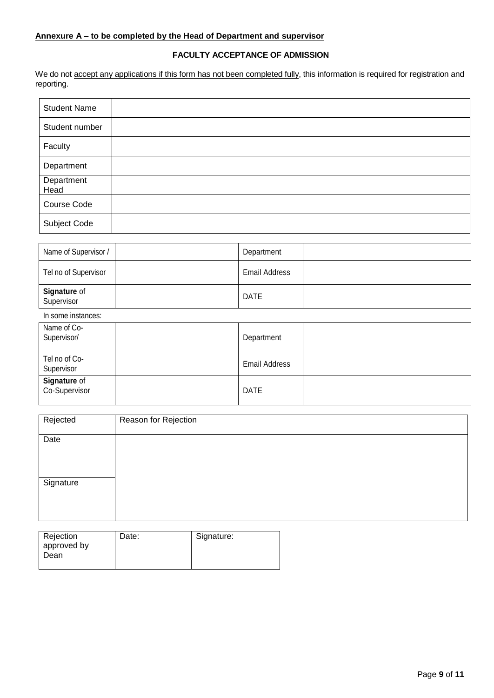#### **FACULTY ACCEPTANCE OF ADMISSION**

We do not <u>accept any applications if this form has not been completed fully</u>, this information is required for registration and reporting.

| <b>Student Name</b> |  |
|---------------------|--|
| Student number      |  |
| Faculty             |  |
| Department          |  |
| Department<br>Head  |  |
| Course Code         |  |
| Subject Code        |  |

| Name of Supervisor /              | Department           |  |
|-----------------------------------|----------------------|--|
| Tel no of Supervisor              | <b>Email Address</b> |  |
| <b>Signature of</b><br>Supervisor | <b>DATE</b>          |  |

#### In some instances:

| Name of Co-<br>Supervisor/    | Department           |  |
|-------------------------------|----------------------|--|
| Tel no of Co-<br>Supervisor   | <b>Email Address</b> |  |
| Signature of<br>Co-Supervisor | <b>DATE</b>          |  |

| Rejected             | Reason for Rejection                                                  |
|----------------------|-----------------------------------------------------------------------|
| Date                 |                                                                       |
|                      |                                                                       |
|                      |                                                                       |
| Signature            |                                                                       |
|                      |                                                                       |
|                      |                                                                       |
|                      |                                                                       |
| $\sim$ $\sim$ $\sim$ | $\sim$<br>$\sim$ $\sim$<br><b>Contract Contract Contract Contract</b> |

| Rejection   | Date: | Signature: |
|-------------|-------|------------|
| approved by |       |            |
| Dean        |       |            |
|             |       |            |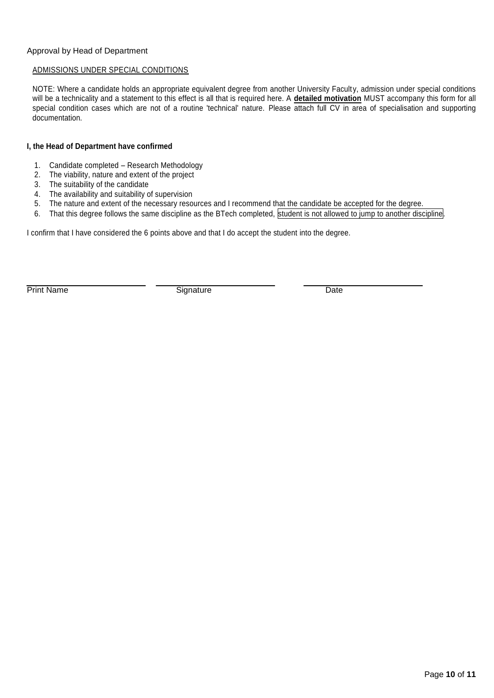#### Approval by Head of Department

#### ADMISSIONS UNDER SPECIAL CONDITIONS

NOTE: Where a candidate holds an appropriate equivalent degree from another University Faculty, admission under special conditions will be a technicality and a statement to this effect is all that is required here. A **detailed motivation** MUST accompany this form for all special condition cases which are not of a routine 'technical' nature. Please attach full CV in area of specialisation and supporting documentation.

#### **I, the Head of Department have confirmed**

- 1. Candidate completed Research Methodology
- 2. The viability, nature and extent of the project
- 3. The suitability of the candidate
- 4. The availability and suitability of supervision
- 5. The nature and extent of the necessary resources and I recommend that the candidate be accepted for the degree.
- 6. That this degree follows the same discipline as the BTech completed, student is not allowed to jump to another discipline.

I confirm that I have considered the 6 points above and that I do accept the student into the degree.

Print Name Signature Date